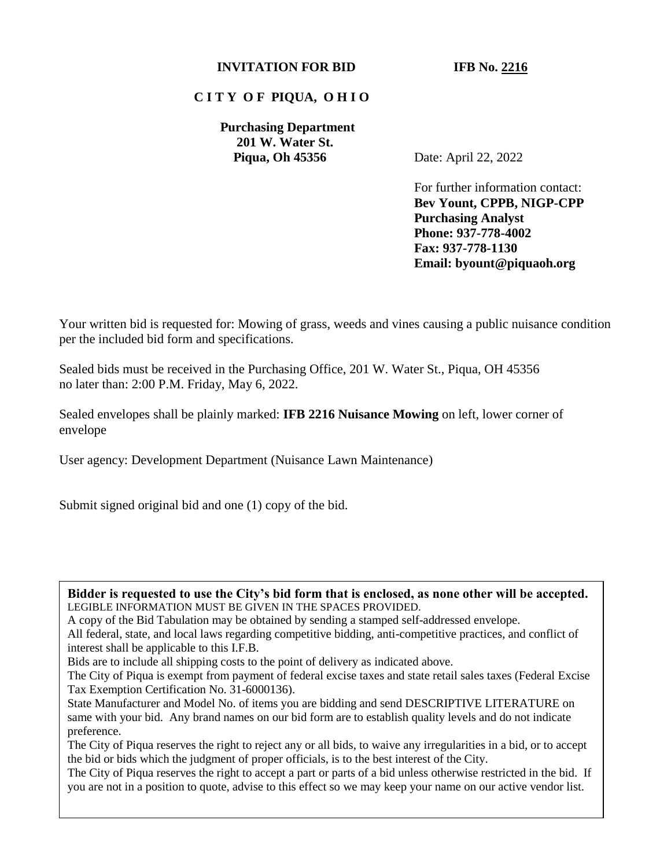### **INVITATION FOR BID IFB No. 2216**

### **C I T Y O F PIQUA, O H I O**

**Purchasing Department 201 W. Water St. Piqua, Oh 45356** Date: April 22, 2022

For further information contact: **Bev Yount, CPPB, NIGP-CPP Purchasing Analyst Phone: 937-778-4002 Fax: 937-778-1130 Email: byount@piquaoh.org** 

Your written bid is requested for: Mowing of grass, weeds and vines causing a public nuisance condition per the included bid form and specifications.

Sealed bids must be received in the Purchasing Office, 201 W. Water St., Piqua, OH 45356 no later than: 2:00 P.M. Friday, May 6, 2022.

Sealed envelopes shall be plainly marked: **IFB 2216 Nuisance Mowing** on left, lower corner of envelope

User agency: Development Department (Nuisance Lawn Maintenance)

Submit signed original bid and one (1) copy of the bid.

**Bidder is requested to use the City's bid form that is enclosed, as none other will be accepted.** LEGIBLE INFORMATION MUST BE GIVEN IN THE SPACES PROVIDED.

A copy of the Bid Tabulation may be obtained by sending a stamped self-addressed envelope.

All federal, state, and local laws regarding competitive bidding, anti-competitive practices, and conflict of interest shall be applicable to this I.F.B.

Bids are to include all shipping costs to the point of delivery as indicated above.

The City of Piqua is exempt from payment of federal excise taxes and state retail sales taxes (Federal Excise Tax Exemption Certification No. 31-6000136).

State Manufacturer and Model No. of items you are bidding and send DESCRIPTIVE LITERATURE on same with your bid. Any brand names on our bid form are to establish quality levels and do not indicate preference.

The City of Piqua reserves the right to reject any or all bids, to waive any irregularities in a bid, or to accept the bid or bids which the judgment of proper officials, is to the best interest of the City.

The City of Piqua reserves the right to accept a part or parts of a bid unless otherwise restricted in the bid. If you are not in a position to quote, advise to this effect so we may keep your name on our active vendor list.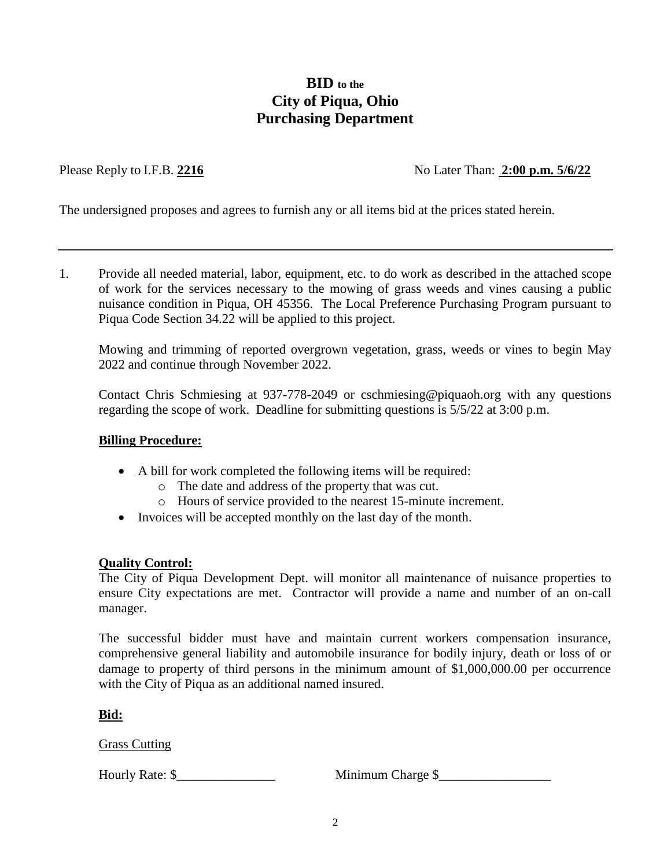## **BID to the City of Piqua, Ohio Purchasing Department**

Please Reply to I.F.B. 2216 No Later Than: 2:00 p.m. 5/6/22

The undersigned proposes and agrees to furnish any or all items bid at the prices stated herein.

1. Provide all needed material, labor, equipment, etc. to do work as described in the attached scope of work for the services necessary to the mowing of grass weeds and vines causing a public nuisance condition in Piqua, OH 45356. The Local Preference Purchasing Program pursuant to Piqua Code Section 34.22 will be applied to this project.

Mowing and trimming of reported overgrown vegetation, grass, weeds or vines to begin May 2022 and continue through November 2022.

Contact Chris Schmiesing at 937-778-2049 or cschmiesing@piquaoh.org with any questions regarding the scope of work. Deadline for submitting questions is 5/5/22 at 3:00 p.m.

#### **Billing Procedure:**

- A bill for work completed the following items will be required:
	- o The date and address of the property that was cut.
	- o Hours of service provided to the nearest 15-minute increment.
- Invoices will be accepted monthly on the last day of the month.

#### **Quality Control:**

The City of Piqua Development Dept. will monitor all maintenance of nuisance properties to ensure City expectations are met. Contractor will provide a name and number of an on-call manager.

The successful bidder must have and maintain current workers compensation insurance, comprehensive general liability and automobile insurance for bodily injury, death or loss of or damage to property of third persons in the minimum amount of \$1,000,000.00 per occurrence with the City of Piqua as an additional named insured.

**Bid:**

Grass Cutting

Hourly Rate: \$\_\_\_\_\_\_\_\_\_\_\_\_\_\_\_ Minimum Charge \$\_\_\_\_\_\_\_\_\_\_\_\_\_\_\_\_\_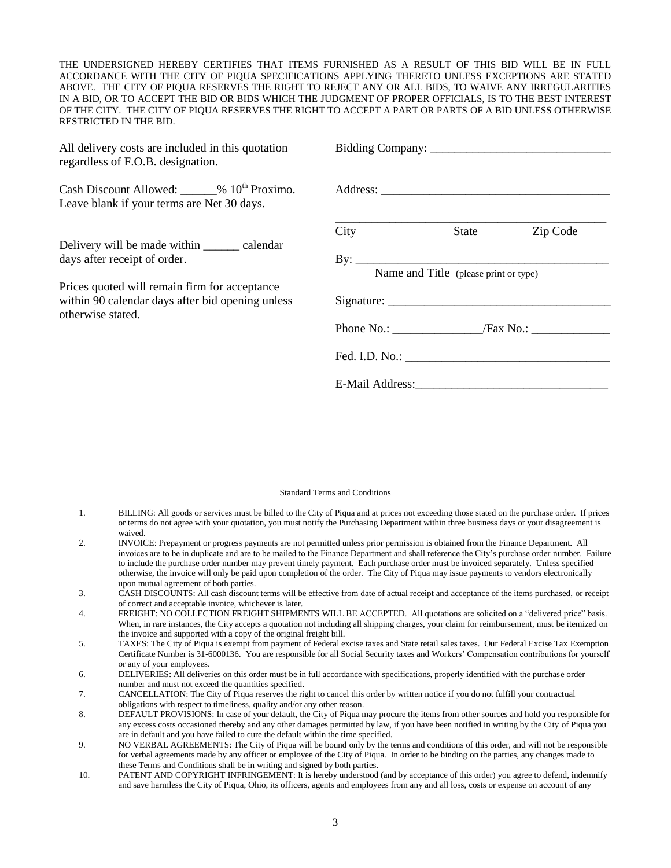THE UNDERSIGNED HEREBY CERTIFIES THAT ITEMS FURNISHED AS A RESULT OF THIS BID WILL BE IN FULL ACCORDANCE WITH THE CITY OF PIQUA SPECIFICATIONS APPLYING THERETO UNLESS EXCEPTIONS ARE STATED ABOVE. THE CITY OF PIQUA RESERVES THE RIGHT TO REJECT ANY OR ALL BIDS, TO WAIVE ANY IRREGULARITIES IN A BID, OR TO ACCEPT THE BID OR BIDS WHICH THE JUDGMENT OF PROPER OFFICIALS, IS TO THE BEST INTEREST OF THE CITY. THE CITY OF PIQUA RESERVES THE RIGHT TO ACCEPT A PART OR PARTS OF A BID UNLESS OTHERWISE RESTRICTED IN THE BID.

All delivery costs are included in this quotation regardless of F.O.B. designation.

Cash Discount Allowed:  $\frac{10^{th}}{200}$  Proximo. Leave blank if your terms are Net 30 days.

Delivery will be made within \_\_\_\_\_\_\_ calendar days after receipt of order.

Prices quoted will remain firm for acceptance within 90 calendar days after bid opening unless otherwise stated.

| City                         | State                                 | Zip Code |
|------------------------------|---------------------------------------|----------|
| By: $\overline{\phantom{a}}$ | Name and Title (please print or type) |          |
|                              |                                       |          |
|                              |                                       |          |
|                              |                                       |          |
| E-Mail Address:              |                                       |          |

#### Standard Terms and Conditions

- 1. BILLING: All goods or services must be billed to the City of Piqua and at prices not exceeding those stated on the purchase order. If prices or terms do not agree with your quotation, you must notify the Purchasing Department within three business days or your disagreement is waived.
- 2. INVOICE: Prepayment or progress payments are not permitted unless prior permission is obtained from the Finance Department. All invoices are to be in duplicate and are to be mailed to the Finance Department and shall reference the City's purchase order number. Failure to include the purchase order number may prevent timely payment. Each purchase order must be invoiced separately. Unless specified otherwise, the invoice will only be paid upon completion of the order. The City of Piqua may issue payments to vendors electronically upon mutual agreement of both parties.
- 3. CASH DISCOUNTS: All cash discount terms will be effective from date of actual receipt and acceptance of the items purchased, or receipt of correct and acceptable invoice, whichever is later.
- 4. FREIGHT: NO COLLECTION FREIGHT SHIPMENTS WILL BE ACCEPTED. All quotations are solicited on a "delivered price" basis. When, in rare instances, the City accepts a quotation not including all shipping charges, your claim for reimbursement, must be itemized on the invoice and supported with a copy of the original freight bill.
- 5. TAXES: The City of Piqua is exempt from payment of Federal excise taxes and State retail sales taxes. Our Federal Excise Tax Exemption Certificate Number is 31-6000136. You are responsible for all Social Security taxes and Workers' Compensation contributions for yourself or any of your employees.
- 6. DELIVERIES: All deliveries on this order must be in full accordance with specifications, properly identified with the purchase order number and must not exceed the quantities specified.
- 7. CANCELLATION: The City of Piqua reserves the right to cancel this order by written notice if you do not fulfill your contractual obligations with respect to timeliness, quality and/or any other reason.
- 8. DEFAULT PROVISIONS: In case of your default, the City of Piqua may procure the items from other sources and hold you responsible for any excess costs occasioned thereby and any other damages permitted by law, if you have been notified in writing by the City of Piqua you are in default and you have failed to cure the default within the time specified.
- 9. NO VERBAL AGREEMENTS: The City of Piqua will be bound only by the terms and conditions of this order, and will not be responsible for verbal agreements made by any officer or employee of the City of Piqua. In order to be binding on the parties, any changes made to these Terms and Conditions shall be in writing and signed by both parties.
- 10. PATENT AND COPYRIGHT INFRINGEMENT: It is hereby understood (and by acceptance of this order) you agree to defend, indemnify and save harmless the City of Piqua, Ohio, its officers, agents and employees from any and all loss, costs or expense on account of any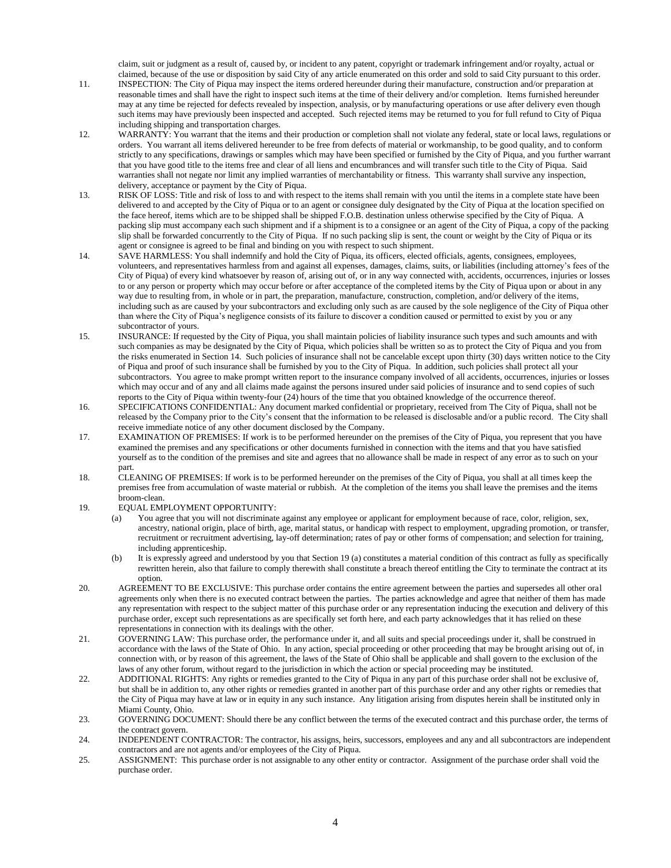claim, suit or judgment as a result of, caused by, or incident to any patent, copyright or trademark infringement and/or royalty, actual or claimed, because of the use or disposition by said City of any article enumerated on this order and sold to said City pursuant to this order.

- 11. INSPECTION: The City of Piqua may inspect the items ordered hereunder during their manufacture, construction and/or preparation at reasonable times and shall have the right to inspect such items at the time of their delivery and/or completion. Items furnished hereunder may at any time be rejected for defects revealed by inspection, analysis, or by manufacturing operations or use after delivery even though such items may have previously been inspected and accepted. Such rejected items may be returned to you for full refund to City of Piqua including shipping and transportation charges.
- 12. WARRANTY: You warrant that the items and their production or completion shall not violate any federal, state or local laws, regulations or orders. You warrant all items delivered hereunder to be free from defects of material or workmanship, to be good quality, and to conform strictly to any specifications, drawings or samples which may have been specified or furnished by the City of Piqua, and you further warrant that you have good title to the items free and clear of all liens and encumbrances and will transfer such title to the City of Piqua. Said warranties shall not negate nor limit any implied warranties of merchantability or fitness. This warranty shall survive any inspection, delivery, acceptance or payment by the City of Piqua.
- 13. RISK OF LOSS: Title and risk of loss to and with respect to the items shall remain with you until the items in a complete state have been delivered to and accepted by the City of Piqua or to an agent or consignee duly designated by the City of Piqua at the location specified on the face hereof, items which are to be shipped shall be shipped F.O.B. destination unless otherwise specified by the City of Piqua. A packing slip must accompany each such shipment and if a shipment is to a consignee or an agent of the City of Piqua, a copy of the packing slip shall be forwarded concurrently to the City of Piqua. If no such packing slip is sent, the count or weight by the City of Piqua or its agent or consignee is agreed to be final and binding on you with respect to such shipment.
- 14. SAVE HARMLESS: You shall indemnify and hold the City of Piqua, its officers, elected officials, agents, consignees, employees, volunteers, and representatives harmless from and against all expenses, damages, claims, suits, or liabilities (including attorney's fees of the City of Piqua) of every kind whatsoever by reason of, arising out of, or in any way connected with, accidents, occurrences, injuries or losses to or any person or property which may occur before or after acceptance of the completed items by the City of Piqua upon or about in any way due to resulting from, in whole or in part, the preparation, manufacture, construction, completion, and/or delivery of the items, including such as are caused by your subcontractors and excluding only such as are caused by the sole negligence of the City of Piqua other than where the City of Piqua's negligence consists of its failure to discover a condition caused or permitted to exist by you or any subcontractor of yours.
- 15. INSURANCE: If requested by the City of Piqua, you shall maintain policies of liability insurance such types and such amounts and with such companies as may be designated by the City of Piqua, which policies shall be written so as to protect the City of Piqua and you from the risks enumerated in Section 14. Such policies of insurance shall not be cancelable except upon thirty (30) days written notice to the City of Piqua and proof of such insurance shall be furnished by you to the City of Piqua. In addition, such policies shall protect all your subcontractors. You agree to make prompt written report to the insurance company involved of all accidents, occurrences, injuries or losses which may occur and of any and all claims made against the persons insured under said policies of insurance and to send copies of such reports to the City of Piqua within twenty-four (24) hours of the time that you obtained knowledge of the occurrence thereof.
- 16. SPECIFICATIONS CONFIDENTIAL: Any document marked confidential or proprietary, received from The City of Piqua, shall not be released by the Company prior to the City's consent that the information to be released is disclosable and/or a public record. The City shall receive immediate notice of any other document disclosed by the Company.
- 17. EXAMINATION OF PREMISES: If work is to be performed hereunder on the premises of the City of Piqua, you represent that you have examined the premises and any specifications or other documents furnished in connection with the items and that you have satisfied yourself as to the condition of the premises and site and agrees that no allowance shall be made in respect of any error as to such on your part.
- 18. CLEANING OF PREMISES: If work is to be performed hereunder on the premises of the City of Piqua, you shall at all times keep the premises free from accumulation of waste material or rubbish. At the completion of the items you shall leave the premises and the items broom-clean.
- 19. EQUAL EMPLOYMENT OPPORTUNITY:
	- (a) You agree that you will not discriminate against any employee or applicant for employment because of race, color, religion, sex, ancestry, national origin, place of birth, age, marital status, or handicap with respect to employment, upgrading promotion, or transfer, recruitment or recruitment advertising, lay-off determination; rates of pay or other forms of compensation; and selection for training, including apprenticeship.
	- (b) It is expressly agreed and understood by you that Section 19 (a) constitutes a material condition of this contract as fully as specifically rewritten herein, also that failure to comply therewith shall constitute a breach thereof entitling the City to terminate the contract at its option.
- 20. AGREEMENT TO BE EXCLUSIVE: This purchase order contains the entire agreement between the parties and supersedes all other oral agreements only when there is no executed contract between the parties. The parties acknowledge and agree that neither of them has made any representation with respect to the subject matter of this purchase order or any representation inducing the execution and delivery of this purchase order, except such representations as are specifically set forth here, and each party acknowledges that it has relied on these representations in connection with its dealings with the other.
- 21. GOVERNING LAW: This purchase order, the performance under it, and all suits and special proceedings under it, shall be construed in accordance with the laws of the State of Ohio. In any action, special proceeding or other proceeding that may be brought arising out of, in connection with, or by reason of this agreement, the laws of the State of Ohio shall be applicable and shall govern to the exclusion of the laws of any other forum, without regard to the jurisdiction in which the action or special proceeding may be instituted.
- 22. ADDITIONAL RIGHTS: Any rights or remedies granted to the City of Piqua in any part of this purchase order shall not be exclusive of, but shall be in addition to, any other rights or remedies granted in another part of this purchase order and any other rights or remedies that the City of Piqua may have at law or in equity in any such instance. Any litigation arising from disputes herein shall be instituted only in Miami County, Ohio.
- 23. GOVERNING DOCUMENT: Should there be any conflict between the terms of the executed contract and this purchase order, the terms of the contract govern.
- 24. INDEPENDENT CONTRACTOR: The contractor, his assigns, heirs, successors, employees and any and all subcontractors are independent contractors and are not agents and/or employees of the City of Piqua.
- 25. ASSIGNMENT: This purchase order is not assignable to any other entity or contractor. Assignment of the purchase order shall void the purchase order.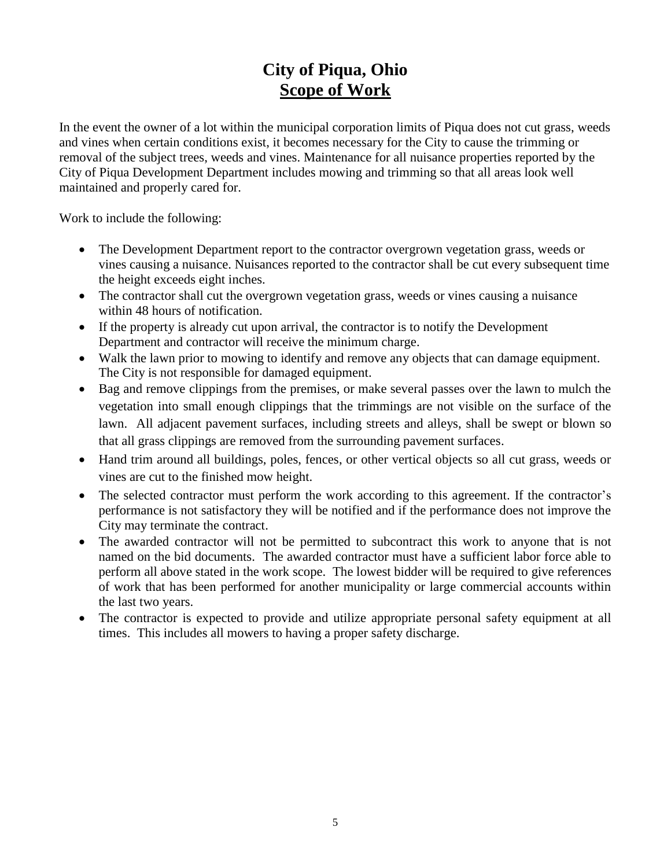# **City of Piqua, Ohio Scope of Work**

In the event the owner of a lot within the municipal corporation limits of Piqua does not cut grass, weeds and vines when certain conditions exist, it becomes necessary for the City to cause the trimming or removal of the subject trees, weeds and vines. Maintenance for all nuisance properties reported by the City of Piqua Development Department includes mowing and trimming so that all areas look well maintained and properly cared for.

Work to include the following:

- The Development Department report to the contractor overgrown vegetation grass, weeds or vines causing a nuisance. Nuisances reported to the contractor shall be cut every subsequent time the height exceeds eight inches.
- The contractor shall cut the overgrown vegetation grass, weeds or vines causing a nuisance within 48 hours of notification.
- If the property is already cut upon arrival, the contractor is to notify the Development Department and contractor will receive the minimum charge.
- Walk the lawn prior to mowing to identify and remove any objects that can damage equipment. The City is not responsible for damaged equipment.
- Bag and remove clippings from the premises, or make several passes over the lawn to mulch the vegetation into small enough clippings that the trimmings are not visible on the surface of the lawn. All adjacent pavement surfaces, including streets and alleys, shall be swept or blown so that all grass clippings are removed from the surrounding pavement surfaces.
- Hand trim around all buildings, poles, fences, or other vertical objects so all cut grass, weeds or vines are cut to the finished mow height.
- The selected contractor must perform the work according to this agreement. If the contractor's performance is not satisfactory they will be notified and if the performance does not improve the City may terminate the contract.
- The awarded contractor will not be permitted to subcontract this work to anyone that is not named on the bid documents. The awarded contractor must have a sufficient labor force able to perform all above stated in the work scope. The lowest bidder will be required to give references of work that has been performed for another municipality or large commercial accounts within the last two years.
- The contractor is expected to provide and utilize appropriate personal safety equipment at all times. This includes all mowers to having a proper safety discharge.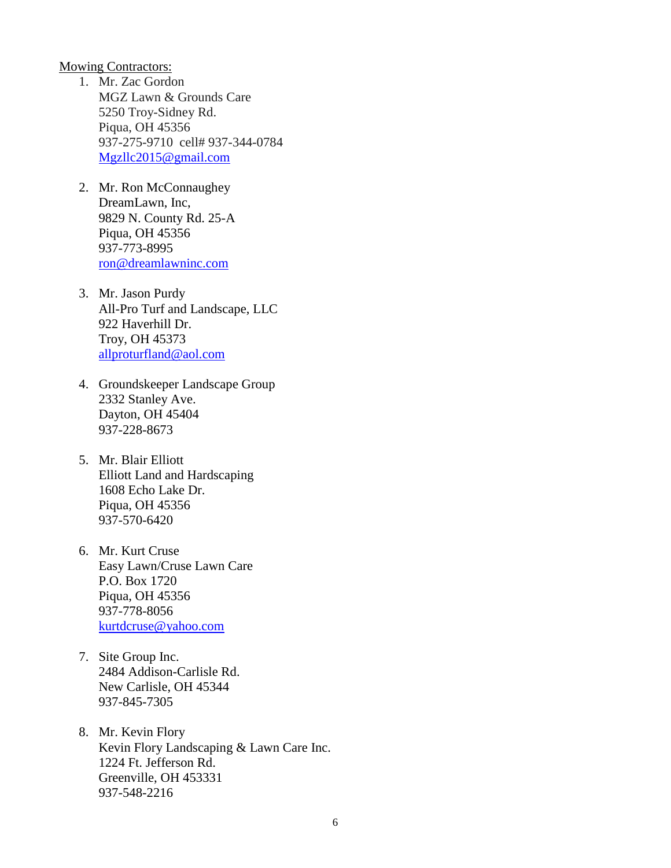Mowing Contractors:

- 1. Mr. Zac Gordon MGZ Lawn & Grounds Care 5250 Troy-Sidney Rd. Piqua, OH 45356 937-275-9710 cell# 937-344-0784 [Mgzllc2015@gmail.com](mailto:Mgzllc2015@gmail.com)
- 2. Mr. Ron McConnaughey DreamLawn, Inc, 9829 N. County Rd. 25-A Piqua, OH 45356 937-773-8995 [ron@dreamlawninc.com](mailto:ron@dreamlawninc.com)
- 3. Mr. Jason Purdy All-Pro Turf and Landscape, LLC 922 Haverhill Dr. Troy, OH 45373 [allproturfland@aol.com](mailto:allproturfland@aol.com)
- 4. Groundskeeper Landscape Group 2332 Stanley Ave. Dayton, OH 45404 937-228-8673
- 5. Mr. Blair Elliott Elliott Land and Hardscaping 1608 Echo Lake Dr. Piqua, OH 45356 937-570-6420
- 6. Mr. Kurt Cruse Easy Lawn/Cruse Lawn Care P.O. Box 1720 Piqua, OH 45356 937-778-8056 [kurtdcruse@yahoo.com](mailto:kurtdcruse@yahoo.com)
- 7. Site Group Inc. 2484 Addison-Carlisle Rd. New Carlisle, OH 45344 937-845-7305
- 8. Mr. Kevin Flory Kevin Flory Landscaping & Lawn Care Inc. 1224 Ft. Jefferson Rd. Greenville, OH 453331 937-548-2216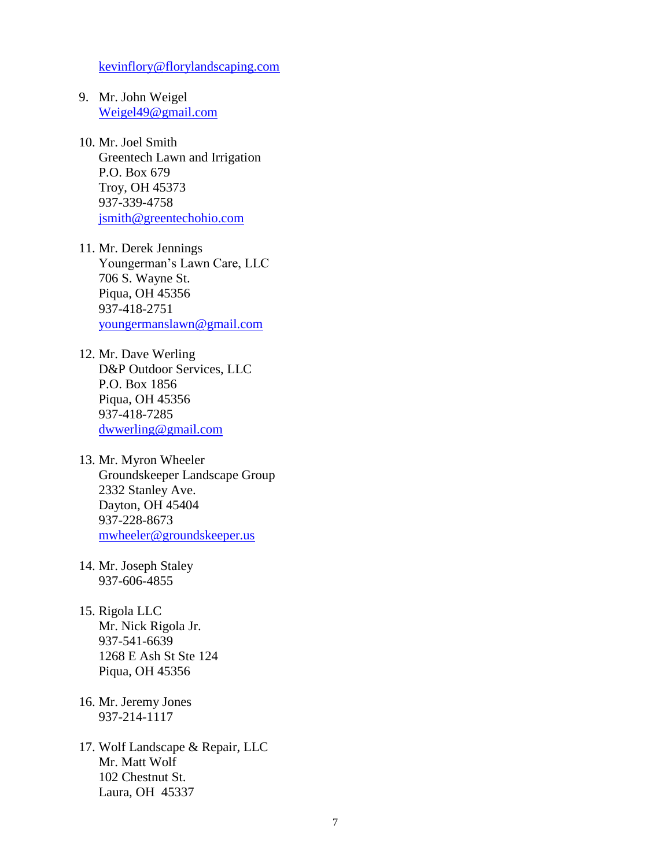[kevinflory@florylandscaping.com](mailto:kevinflory@florylandscaping.com)

- 9. Mr. John Weigel [Weigel49@gmail.com](mailto:Weigel49@gmail.com)
- 10. Mr. Joel Smith Greentech Lawn and Irrigation P.O. Box 679 Troy, OH 45373 937-339-4758 [jsmith@greentechohio.com](mailto:jsmith@greentechohio.com)
- 11. Mr. Derek Jennings Youngerman's Lawn Care, LLC 706 S. Wayne St. Piqua, OH 45356 937-418-2751 [youngermanslawn@gmail.com](mailto:youngermanslawn@gmail.com)
- 12. Mr. Dave Werling D&P Outdoor Services, LLC P.O. Box 1856 Piqua, OH 45356 937-418-7285 [dwwerling@gmail.com](mailto:dwwerling@gmail.com)
- 13. Mr. Myron Wheeler Groundskeeper Landscape Group 2332 Stanley Ave. Dayton, OH 45404 937-228-8673 [mwheeler@groundskeeper.us](mailto:mwheeler@groundskeeper.us)
- 14. Mr. Joseph Staley 937-606-4855
- 15. Rigola LLC Mr. Nick Rigola Jr. 937-541-6639 1268 E Ash St Ste 124 Piqua, OH 45356
- 16. Mr. Jeremy Jones 937-214-1117
- 17. Wolf Landscape & Repair, LLC Mr. Matt Wolf 102 Chestnut St. Laura, OH 45337